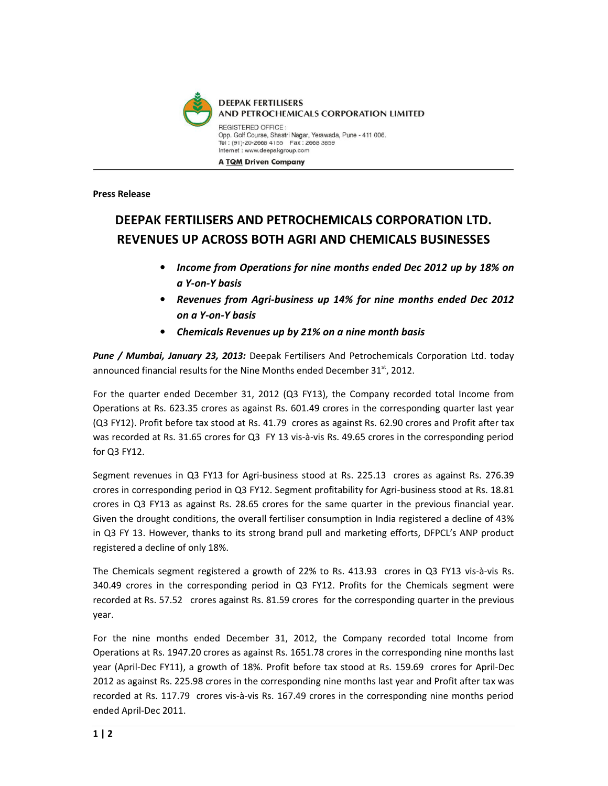

Press Release

## DEEPAK FERTILISERS AND PETROCHEMICALS CORPORATION LTD. REVENUES UP ACROSS BOTH AGRI AND CHEMICALS BUSINESSES

- Income from Operations for nine months ended Dec 2012 up by 18% on a Y-on-Y basis
- Revenues from Agri-business up 14% for nine months ended Dec 2012 on a Y-on-Y basis
- Chemicals Revenues up by 21% on a nine month basis

Pune / Mumbai, January 23, 2013: Deepak Fertilisers And Petrochemicals Corporation Ltd. today announced financial results for the Nine Months ended December  $31<sup>st</sup>$ , 2012.

For the quarter ended December 31, 2012 (Q3 FY13), the Company recorded total Income from Operations at Rs. 623.35 crores as against Rs. 601.49 crores in the corresponding quarter last year (Q3 FY12). Profit before tax stood at Rs. 41.79 crores as against Rs. 62.90 crores and Profit after tax was recorded at Rs. 31.65 crores for Q3 FY 13 vis-à-vis Rs. 49.65 crores in the corresponding period for Q3 FY12.

Segment revenues in Q3 FY13 for Agri-business stood at Rs. 225.13 crores as against Rs. 276.39 crores in corresponding period in Q3 FY12. Segment profitability for Agri-business stood at Rs. 18.81 crores in Q3 FY13 as against Rs. 28.65 crores for the same quarter in the previous financial year. Given the drought conditions, the overall fertiliser consumption in India registered a decline of 43% in Q3 FY 13. However, thanks to its strong brand pull and marketing efforts, DFPCL's ANP product registered a decline of only 18%.

The Chemicals segment registered a growth of 22% to Rs. 413.93 crores in Q3 FY13 vis-à-vis Rs. 340.49 crores in the corresponding period in Q3 FY12. Profits for the Chemicals segment were recorded at Rs. 57.52 crores against Rs. 81.59 crores for the corresponding quarter in the previous year.

For the nine months ended December 31, 2012, the Company recorded total Income from Operations at Rs. 1947.20 crores as against Rs. 1651.78 crores in the corresponding nine months last year (April-Dec FY11), a growth of 18%. Profit before tax stood at Rs. 159.69 crores for April-Dec 2012 as against Rs. 225.98 crores in the corresponding nine months last year and Profit after tax was recorded at Rs. 117.79 crores vis-à-vis Rs. 167.49 crores in the corresponding nine months period ended April-Dec 2011.